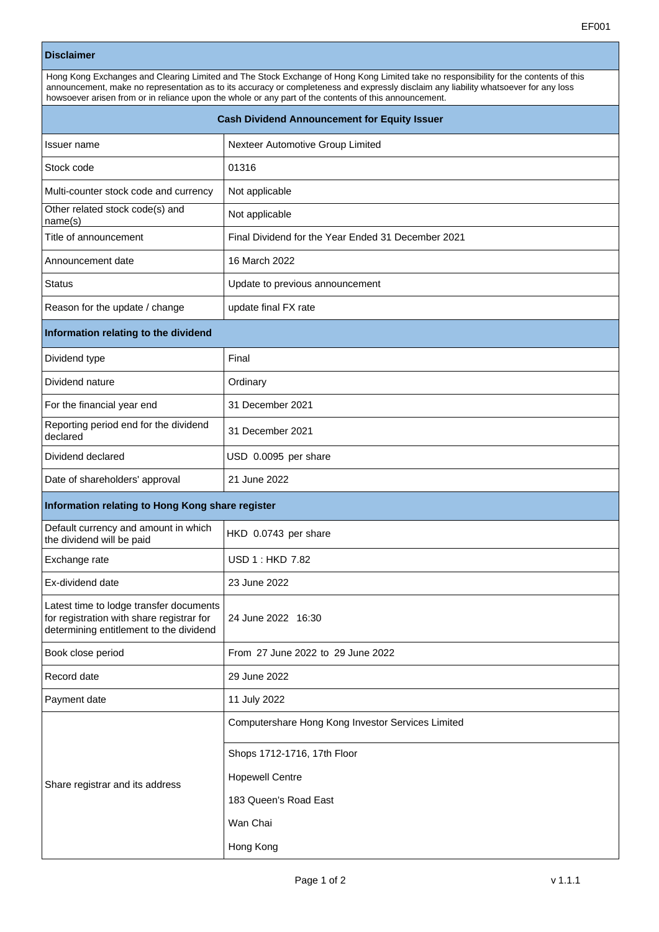|                                                                                                                                                                                                                                                                                                                                                                                       | EF001                                              |  |
|---------------------------------------------------------------------------------------------------------------------------------------------------------------------------------------------------------------------------------------------------------------------------------------------------------------------------------------------------------------------------------------|----------------------------------------------------|--|
| <b>Disclaimer</b>                                                                                                                                                                                                                                                                                                                                                                     |                                                    |  |
| Hong Kong Exchanges and Clearing Limited and The Stock Exchange of Hong Kong Limited take no responsibility for the contents of this<br>announcement, make no representation as to its accuracy or completeness and expressly disclaim any liability whatsoever for any loss<br>howsoever arisen from or in reliance upon the whole or any part of the contents of this announcement. |                                                    |  |
| <b>Cash Dividend Announcement for Equity Issuer</b>                                                                                                                                                                                                                                                                                                                                   |                                                    |  |
| Issuer name                                                                                                                                                                                                                                                                                                                                                                           | Nexteer Automotive Group Limited                   |  |
| Stock code                                                                                                                                                                                                                                                                                                                                                                            | 01316                                              |  |
| Multi-counter stock code and currency                                                                                                                                                                                                                                                                                                                                                 | Not applicable                                     |  |
| Other related stock code(s) and<br>name(s)                                                                                                                                                                                                                                                                                                                                            | Not applicable                                     |  |
| Title of announcement                                                                                                                                                                                                                                                                                                                                                                 | Final Dividend for the Year Ended 31 December 2021 |  |
| Announcement date                                                                                                                                                                                                                                                                                                                                                                     | 16 March 2022                                      |  |
| Status                                                                                                                                                                                                                                                                                                                                                                                | Update to previous announcement                    |  |
| Reason for the update / change                                                                                                                                                                                                                                                                                                                                                        | update final FX rate                               |  |
| Information relating to the dividend                                                                                                                                                                                                                                                                                                                                                  |                                                    |  |
| Dividend type                                                                                                                                                                                                                                                                                                                                                                         | Final                                              |  |
| Dividend nature                                                                                                                                                                                                                                                                                                                                                                       | Ordinary                                           |  |
| For the financial year end                                                                                                                                                                                                                                                                                                                                                            | 31 December 2021                                   |  |
| Reporting period end for the dividend<br>declared                                                                                                                                                                                                                                                                                                                                     | 31 December 2021                                   |  |
| Dividend declared                                                                                                                                                                                                                                                                                                                                                                     | USD 0.0095 per share                               |  |
| Date of shareholders' approval                                                                                                                                                                                                                                                                                                                                                        | 21 June 2022                                       |  |
| Information relating to Hong Kong share register                                                                                                                                                                                                                                                                                                                                      |                                                    |  |
| Default currency and amount in which<br>the dividend will be paid                                                                                                                                                                                                                                                                                                                     | HKD 0.0743 per share                               |  |
| Exchange rate                                                                                                                                                                                                                                                                                                                                                                         | <b>USD 1: HKD 7.82</b>                             |  |
| Ex-dividend date                                                                                                                                                                                                                                                                                                                                                                      | 23 June 2022                                       |  |
| Latest time to lodge transfer documents<br>for registration with share registrar for<br>determining entitlement to the dividend                                                                                                                                                                                                                                                       | 24 June 2022 16:30                                 |  |
| Book close period                                                                                                                                                                                                                                                                                                                                                                     | From 27 June 2022 to 29 June 2022                  |  |
| Record date                                                                                                                                                                                                                                                                                                                                                                           | 29 June 2022                                       |  |
| Payment date                                                                                                                                                                                                                                                                                                                                                                          | 11 July 2022                                       |  |
|                                                                                                                                                                                                                                                                                                                                                                                       | Computershare Hong Kong Investor Services Limited  |  |
|                                                                                                                                                                                                                                                                                                                                                                                       | Shops 1712-1716, 17th Floor                        |  |

Share registrar and its address Hopewell Centre

183 Queen's Road East

Wan Chai Hong Kong